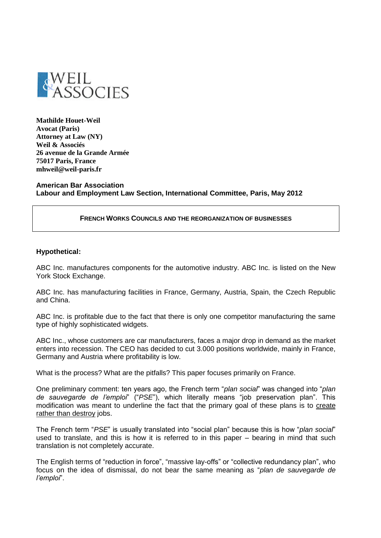

**Mathilde Houet-Weil Avocat (Paris) Attorney at Law (NY) Weil & Associés 26 avenue de la Grande Armée 75017 Paris, France mhweil@weil-paris.fr**

**American Bar Association Labour and Employment Law Section, International Committee, Paris, May 2012**

#### **FRENCH WORKS COUNCILS AND THE REORGANIZATION OF BUSINESSES**

#### **Hypothetical:**

ABC Inc. manufactures components for the automotive industry. ABC Inc. is listed on the New York Stock Exchange.

ABC Inc. has manufacturing facilities in France, Germany, Austria, Spain, the Czech Republic and China.

ABC Inc. is profitable due to the fact that there is only one competitor manufacturing the same type of highly sophisticated widgets.

ABC Inc., whose customers are car manufacturers, faces a major drop in demand as the market enters into recession. The CEO has decided to cut 3.000 positions worldwide, mainly in France, Germany and Austria where profitability is low.

What is the process? What are the pitfalls? This paper focuses primarily on France.

One preliminary comment: ten years ago, the French term "*plan social*" was changed into "*plan de sauvegarde de l'emploi*" ("*PSE*"), which literally means "job preservation plan". This modification was meant to underline the fact that the primary goal of these plans is to create rather than destroy jobs.

The French term "*PSE*" is usually translated into "social plan" because this is how "*plan social*" used to translate, and this is how it is referred to in this paper – bearing in mind that such translation is not completely accurate.

The English terms of "reduction in force", "massive lay-offs" or "collective redundancy plan", who focus on the idea of dismissal, do not bear the same meaning as "*plan de sauvegarde de l'emploi*".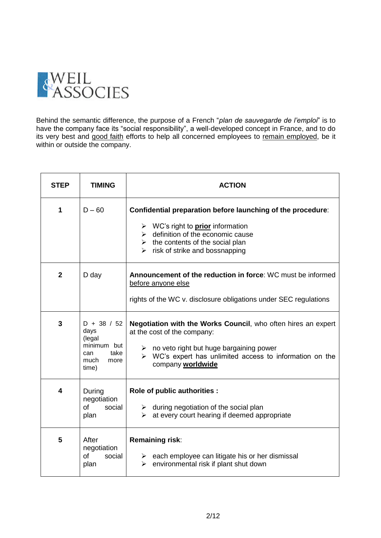

Behind the semantic difference, the purpose of a French "*plan de sauvegarde de l'emploi*" is to have the company face its "social responsibility", a well-developed concept in France, and to do its very best and good faith efforts to help all concerned employees to remain employed, be it within or outside the company.

| <b>STEP</b>    | <b>TIMING</b>                                                                          | <b>ACTION</b>                                                                                                                                                                                                                                                                      |
|----------------|----------------------------------------------------------------------------------------|------------------------------------------------------------------------------------------------------------------------------------------------------------------------------------------------------------------------------------------------------------------------------------|
| 1              | $D - 60$                                                                               | Confidential preparation before launching of the procedure:<br>$\triangleright$ WC's right to <b>prior</b> information<br>$\triangleright$ definition of the economic cause<br>$\triangleright$ the contents of the social plan<br>$\triangleright$ risk of strike and bossnapping |
| $\overline{2}$ | D day                                                                                  | Announcement of the reduction in force: WC must be informed<br>before anyone else<br>rights of the WC v. disclosure obligations under SEC regulations                                                                                                                              |
| $\overline{3}$ | $D + 38 / 52$<br>days<br>(legal<br>minimum but<br>take<br>can<br>much<br>more<br>time) | <b>Negotiation with the Works Council, who often hires an expert</b><br>at the cost of the company:<br>$\triangleright$ no veto right but huge bargaining power<br>$\triangleright$ WC's expert has unlimited access to information on the<br>company worldwide                    |
| 4              | During<br>negotiation<br><b>of</b><br>social<br>plan                                   | Role of public authorities :<br>$\triangleright$ during negotiation of the social plan<br>at every court hearing if deemed appropriate<br>➤                                                                                                                                        |
| 5              | After<br>negotiation<br><sub>of</sub><br>social<br>plan                                | Remaining risk:<br>$\triangleright$ each employee can litigate his or her dismissal<br>environmental risk if plant shut down<br>$\blacktriangleright$                                                                                                                              |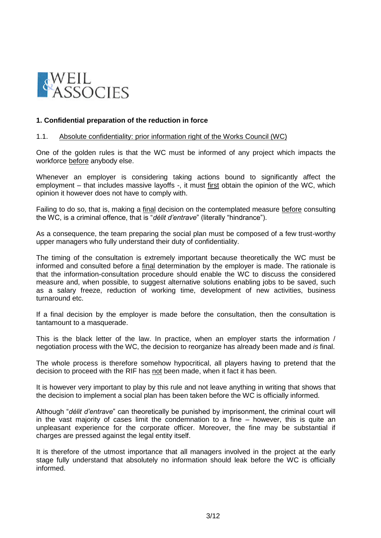

## **1. Confidential preparation of the reduction in force**

### 1.1. Absolute confidentiality: prior information right of the Works Council (WC)

One of the golden rules is that the WC must be informed of any project which impacts the workforce before anybody else.

Whenever an employer is considering taking actions bound to significantly affect the employment – that includes massive layoffs -, it must first obtain the opinion of the WC, which opinion it however does not have to comply with.

Failing to do so, that is, making a final decision on the contemplated measure before consulting the WC, is a criminal offence, that is "*délit d'entrave*" (literally "hindrance").

As a consequence, the team preparing the social plan must be composed of a few trust-worthy upper managers who fully understand their duty of confidentiality.

The timing of the consultation is extremely important because theoretically the WC must be informed and consulted before a final determination by the employer is made. The rationale is that the information-consultation procedure should enable the WC to discuss the considered measure and, when possible, to suggest alternative solutions enabling jobs to be saved, such as a salary freeze, reduction of working time, development of new activities, business turnaround etc.

If a final decision by the employer is made before the consultation, then the consultation is tantamount to a masquerade.

This is the black letter of the law. In practice, when an employer starts the information / negotiation process with the WC, the decision to reorganize has already been made and *is* final.

The whole process is therefore somehow hypocritical, all players having to pretend that the decision to proceed with the RIF has not been made, when it fact it has been.

It is however very important to play by this rule and not leave anything in writing that shows that the decision to implement a social plan has been taken before the WC is officially informed.

Although "*délit d'entrave*" can theoretically be punished by imprisonment, the criminal court will in the vast majority of cases limit the condemnation to a fine – however, this is quite an unpleasant experience for the corporate officer. Moreover, the fine may be substantial if charges are pressed against the legal entity itself.

It is therefore of the utmost importance that all managers involved in the project at the early stage fully understand that absolutely no information should leak before the WC is officially informed.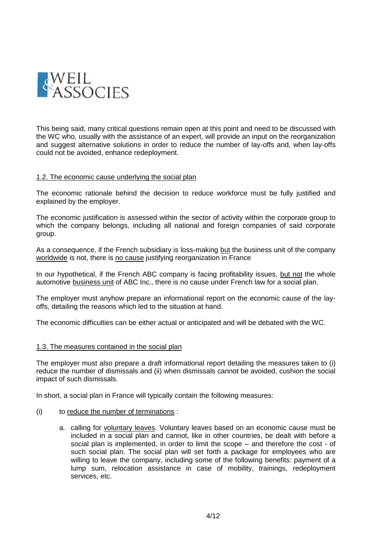

This being said, many critical questions remain open at this point and need to be discussed with the WC who, usually with the assistance of an expert, will provide an input on the reorganization and suggest alternative solutions in order to reduce the number of lay-offs and, when lay-offs could not be avoided, enhance redeployment.

### 1.2. The economic cause underlying the social plan

The economic rationale behind the decision to reduce workforce must be fully justified and explained by the employer.

The economic justification is assessed within the sector of activity within the corporate group to which the company belongs, including all national and foreign companies of said corporate group.

As a consequence, if the French subsidiary is loss-making but the business unit of the company worldwide is not, there is no cause justifying reorganization in France

In our hypothetical, if the French ABC company is facing profitability issues, but not the whole automotive business unit of ABC Inc., there is no cause under French law for a social plan.

The employer must anyhow prepare an informational report on the economic cause of the layoffs, detailing the reasons which led to the situation at hand.

The economic difficulties can be either actual or anticipated and will be debated with the WC.

### 1.3. The measures contained in the social plan

The employer must also prepare a draft informational report detailing the measures taken to (i) reduce the number of dismissals and (ii) when dismissals cannot be avoided, cushion the social impact of such dismissals.

In short, a social plan in France will typically contain the following measures:

- (i) to reduce the number of terminations :
	- a. calling for voluntary leaves. Voluntary leaves based on an economic cause must be included in a social plan and cannot, like in other countries, be dealt with before a social plan is implemented, in order to limit the scope – and therefore the cost - of such social plan. The social plan will set forth a package for employees who are willing to leave the company, including some of the following benefits: payment of a lump sum, relocation assistance in case of mobility, trainings, redeployment services, etc.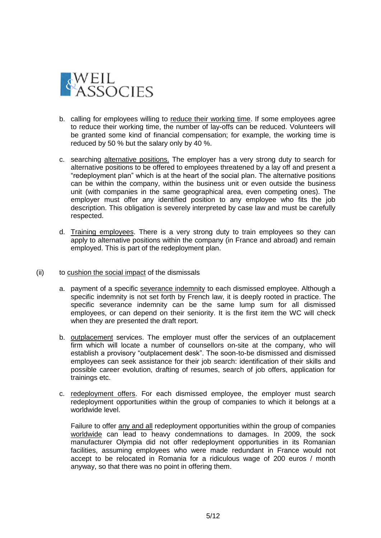

- b. calling for employees willing to reduce their working time. If some employees agree to reduce their working time, the number of lay-offs can be reduced. Volunteers will be granted some kind of financial compensation; for example, the working time is reduced by 50 % but the salary only by 40 %.
- c. searching alternative positions. The employer has a very strong duty to search for alternative positions to be offered to employees threatened by a lay off and present a "redeployment plan" which is at the heart of the social plan. The alternative positions can be within the company, within the business unit or even outside the business unit (with companies in the same geographical area, even competing ones). The employer must offer any identified position to any employee who fits the job description. This obligation is severely interpreted by case law and must be carefully respected.
- d. Training employees. There is a very strong duty to train employees so they can apply to alternative positions within the company (in France and abroad) and remain employed. This is part of the redeployment plan.
- (ii) to cushion the social impact of the dismissals
	- a. payment of a specific severance indemnity to each dismissed employee. Although a specific indemnity is not set forth by French law, it is deeply rooted in practice. The specific severance indemnity can be the same lump sum for all dismissed employees, or can depend on their seniority. It is the first item the WC will check when they are presented the draft report.
	- b. outplacement services. The employer must offer the services of an outplacement firm which will locate a number of counsellors on-site at the company, who will establish a provisory "outplacement desk". The soon-to-be dismissed and dismissed employees can seek assistance for their job search: identification of their skills and possible career evolution, drafting of resumes, search of job offers, application for trainings etc.
	- c. redeployment offers. For each dismissed employee, the employer must search redeployment opportunities within the group of companies to which it belongs at a worldwide level.

Failure to offer any and all redeployment opportunities within the group of companies worldwide can lead to heavy condemnations to damages. In 2009, the sock manufacturer Olympia did not offer redeployment opportunities in its Romanian facilities, assuming employees who were made redundant in France would not accept to be relocated in Romania for a ridiculous wage of 200 euros / month anyway, so that there was no point in offering them.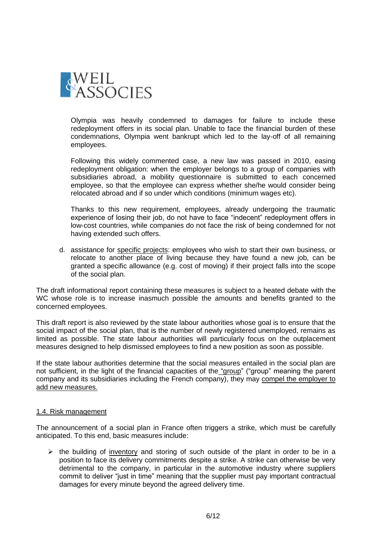

Olympia was heavily condemned to damages for failure to include these redeployment offers in its social plan. Unable to face the financial burden of these condemnations, Olympia went bankrupt which led to the lay-off of all remaining employees.

Following this widely commented case, a new law was passed in 2010, easing redeployment obligation: when the employer belongs to a group of companies with subsidiaries abroad, a mobility questionnaire is submitted to each concerned employee, so that the employee can express whether she/he would consider being relocated abroad and if so under which conditions (minimum wages etc).

Thanks to this new requirement, employees, already undergoing the traumatic experience of losing their job, do not have to face "indecent" redeployment offers in low-cost countries, while companies do not face the risk of being condemned for not having extended such offers.

d. assistance for specific projects: employees who wish to start their own business, or relocate to another place of living because they have found a new job, can be granted a specific allowance (e.g. cost of moving) if their project falls into the scope of the social plan.

The draft informational report containing these measures is subject to a heated debate with the WC whose role is to increase inasmuch possible the amounts and benefits granted to the concerned employees.

This draft report is also reviewed by the state labour authorities whose goal is to ensure that the social impact of the social plan, that is the number of newly registered unemployed, remains as limited as possible. The state labour authorities will particularly focus on the outplacement measures designed to help dismissed employees to find a new position as soon as possible.

If the state labour authorities determine that the social measures entailed in the social plan are not sufficient, in the light of the financial capacities of the "group" ("group" meaning the parent company and its subsidiaries including the French company), they may compel the employer to add new measures.

### 1.4. Risk management

The announcement of a social plan in France often triggers a strike, which must be carefully anticipated. To this end, basic measures include:

 $\triangleright$  the building of inventory and storing of such outside of the plant in order to be in a position to face its delivery commitments despite a strike. A strike can otherwise be very detrimental to the company, in particular in the automotive industry where suppliers commit to deliver "just in time" meaning that the supplier must pay important contractual damages for every minute beyond the agreed delivery time.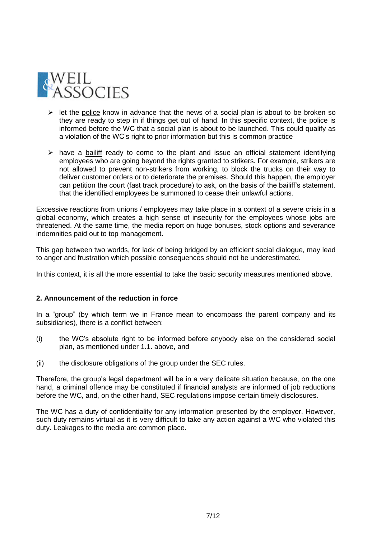

- $\triangleright$  let the police know in advance that the news of a social plan is about to be broken so they are ready to step in if things get out of hand. In this specific context, the police is informed before the WC that a social plan is about to be launched. This could qualify as a violation of the WC's right to prior information but this is common practice
- $\triangleright$  have a bailiff ready to come to the plant and issue an official statement identifying employees who are going beyond the rights granted to strikers. For example, strikers are not allowed to prevent non-strikers from working, to block the trucks on their way to deliver customer orders or to deteriorate the premises. Should this happen, the employer can petition the court (fast track procedure) to ask, on the basis of the bailiff's statement, that the identified employees be summoned to cease their unlawful actions.

Excessive reactions from unions / employees may take place in a context of a severe crisis in a global economy, which creates a high sense of insecurity for the employees whose jobs are threatened. At the same time, the media report on huge bonuses, stock options and severance indemnities paid out to top management.

This gap between two worlds, for lack of being bridged by an efficient social dialogue, may lead to anger and frustration which possible consequences should not be underestimated.

In this context, it is all the more essential to take the basic security measures mentioned above.

# **2. Announcement of the reduction in force**

In a "group" (by which term we in France mean to encompass the parent company and its subsidiaries), there is a conflict between:

- (i) the WC's absolute right to be informed before anybody else on the considered social plan, as mentioned under 1.1. above, and
- (ii) the disclosure obligations of the group under the SEC rules.

Therefore, the group's legal department will be in a very delicate situation because, on the one hand, a criminal offence may be constituted if financial analysts are informed of job reductions before the WC, and, on the other hand, SEC regulations impose certain timely disclosures.

The WC has a duty of confidentiality for any information presented by the employer. However, such duty remains virtual as it is very difficult to take any action against a WC who violated this duty. Leakages to the media are common place.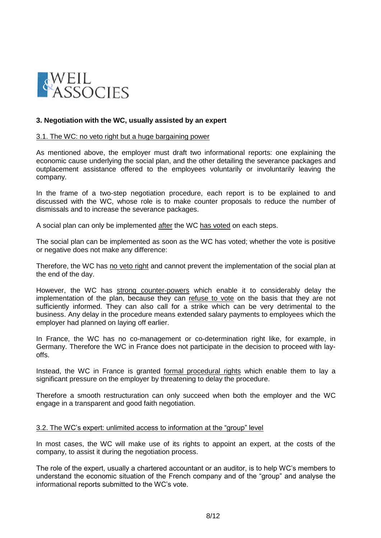

## **3. Negotiation with the WC, usually assisted by an expert**

### 3.1. The WC: no veto right but a huge bargaining power

As mentioned above, the employer must draft two informational reports: one explaining the economic cause underlying the social plan, and the other detailing the severance packages and outplacement assistance offered to the employees voluntarily or involuntarily leaving the company.

In the frame of a two-step negotiation procedure, each report is to be explained to and discussed with the WC, whose role is to make counter proposals to reduce the number of dismissals and to increase the severance packages.

A social plan can only be implemented after the WC has voted on each steps.

The social plan can be implemented as soon as the WC has voted; whether the vote is positive or negative does not make any difference:

Therefore, the WC has no veto right and cannot prevent the implementation of the social plan at the end of the day.

However, the WC has strong counter-powers which enable it to considerably delay the implementation of the plan, because they can refuse to vote on the basis that they are not sufficiently informed. They can also call for a strike which can be very detrimental to the business. Any delay in the procedure means extended salary payments to employees which the employer had planned on laying off earlier.

In France, the WC has no co-management or co-determination right like, for example, in Germany. Therefore the WC in France does not participate in the decision to proceed with layoffs.

Instead, the WC in France is granted formal procedural rights which enable them to lay a significant pressure on the employer by threatening to delay the procedure.

Therefore a smooth restructuration can only succeed when both the employer and the WC engage in a transparent and good faith negotiation.

### 3.2. The WC's expert: unlimited access to information at the "group" level

In most cases, the WC will make use of its rights to appoint an expert, at the costs of the company, to assist it during the negotiation process.

The role of the expert, usually a chartered accountant or an auditor, is to help WC's members to understand the economic situation of the French company and of the "group" and analyse the informational reports submitted to the WC's vote.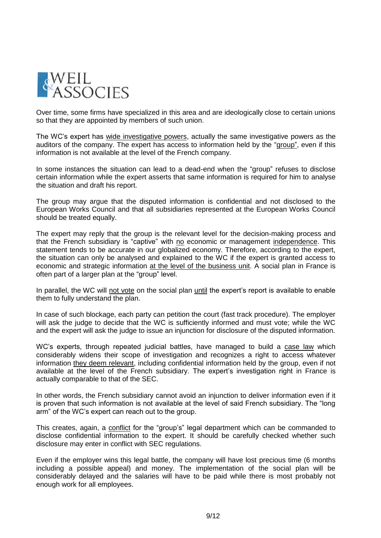

Over time, some firms have specialized in this area and are ideologically close to certain unions so that they are appointed by members of such union.

The WC's expert has wide investigative powers, actually the same investigative powers as the auditors of the company. The expert has access to information held by the "group", even if this information is not available at the level of the French company.

In some instances the situation can lead to a dead-end when the "group" refuses to disclose certain information while the expert asserts that same information is required for him to analyse the situation and draft his report.

The group may argue that the disputed information is confidential and not disclosed to the European Works Council and that all subsidiaries represented at the European Works Council should be treated equally.

The expert may reply that the group is the relevant level for the decision-making process and that the French subsidiary is "captive" with no economic or management independence. This statement tends to be accurate in our globalized economy. Therefore, according to the expert, the situation can only be analysed and explained to the WC if the expert is granted access to economic and strategic information at the level of the business unit. A social plan in France is often part of a larger plan at the "group" level.

In parallel, the WC will not vote on the social plan until the expert's report is available to enable them to fully understand the plan.

In case of such blockage, each party can petition the court (fast track procedure). The employer will ask the judge to decide that the WC is sufficiently informed and must vote; while the WC and the expert will ask the judge to issue an injunction for disclosure of the disputed information.

WC's experts, through repeated judicial battles, have managed to build a case law which considerably widens their scope of investigation and recognizes a right to access whatever information they deem relevant, including confidential information held by the group, even if not available at the level of the French subsidiary. The expert's investigation right in France is actually comparable to that of the SEC.

In other words, the French subsidiary cannot avoid an injunction to deliver information even if it is proven that such information is not available at the level of said French subsidiary. The "long arm" of the WC's expert can reach out to the group.

This creates, again, a conflict for the "group's" legal department which can be commanded to disclose confidential information to the expert. It should be carefully checked whether such disclosure may enter in conflict with SEC regulations.

Even if the employer wins this legal battle, the company will have lost precious time (6 months including a possible appeal) and money. The implementation of the social plan will be considerably delayed and the salaries will have to be paid while there is most probably not enough work for all employees.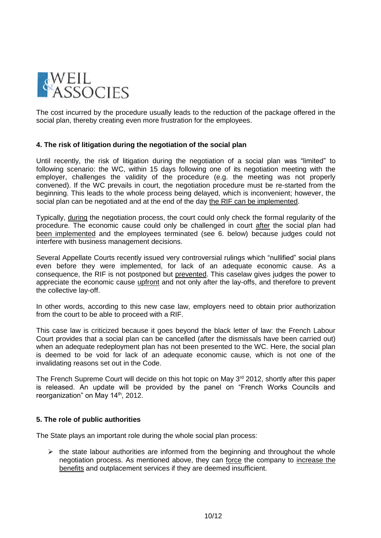

The cost incurred by the procedure usually leads to the reduction of the package offered in the social plan, thereby creating even more frustration for the employees.

## **4. The risk of litigation during the negotiation of the social plan**

Until recently, the risk of litigation during the negotiation of a social plan was "limited" to following scenario: the WC, within 15 days following one of its negotiation meeting with the employer, challenges the validity of the procedure (e.g. the meeting was not properly convened). If the WC prevails in court, the negotiation procedure must be re-started from the beginning. This leads to the whole process being delayed, which is inconvenient; however, the social plan can be negotiated and at the end of the day the RIF can be implemented.

Typically, during the negotiation process, the court could only check the formal regularity of the procedure. The economic cause could only be challenged in court after the social plan had been implemented and the employees terminated (see 6. below) because judges could not interfere with business management decisions.

Several Appellate Courts recently issued very controversial rulings which "nullified" social plans even before they were implemented, for lack of an adequate economic cause. As a consequence, the RIF is not postponed but prevented. This caselaw gives judges the power to appreciate the economic cause upfront and not only after the lay-offs, and therefore to prevent the collective lay-off.

In other words, according to this new case law, employers need to obtain prior authorization from the court to be able to proceed with a RIF.

This case law is criticized because it goes beyond the black letter of law: the French Labour Court provides that a social plan can be cancelled (after the dismissals have been carried out) when an adequate redeployment plan has not been presented to the WC. Here, the social plan is deemed to be void for lack of an adequate economic cause, which is not one of the invalidating reasons set out in the Code.

The French Supreme Court will decide on this hot topic on May 3<sup>rd</sup> 2012, shortly after this paper is released. An update will be provided by the panel on "French Works Councils and reorganization" on May 14<sup>th</sup>, 2012.

# **5. The role of public authorities**

The State plays an important role during the whole social plan process:

 $\triangleright$  the state labour authorities are informed from the beginning and throughout the whole negotiation process. As mentioned above, they can force the company to increase the benefits and outplacement services if they are deemed insufficient.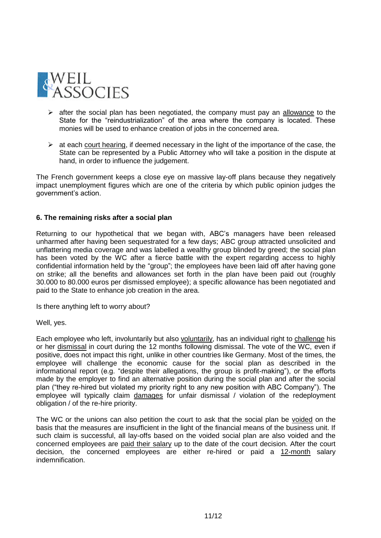

- $\triangleright$  after the social plan has been negotiated, the company must pay an allowance to the State for the "reindustrialization" of the area where the company is located. These monies will be used to enhance creation of jobs in the concerned area.
- $\triangleright$  at each court hearing, if deemed necessary in the light of the importance of the case, the State can be represented by a Public Attorney who will take a position in the dispute at hand, in order to influence the judgement.

The French government keeps a close eye on massive lay-off plans because they negatively impact unemployment figures which are one of the criteria by which public opinion judges the government's action.

## **6. The remaining risks after a social plan**

Returning to our hypothetical that we began with, ABC's managers have been released unharmed after having been sequestrated for a few days; ABC group attracted unsolicited and unflattering media coverage and was labelled a wealthy group blinded by greed; the social plan has been voted by the WC after a fierce battle with the expert regarding access to highly confidential information held by the "group"; the employees have been laid off after having gone on strike; all the benefits and allowances set forth in the plan have been paid out (roughly 30.000 to 80.000 euros per dismissed employee); a specific allowance has been negotiated and paid to the State to enhance job creation in the area.

Is there anything left to worry about?

Well, yes.

Each employee who left, involuntarily but also voluntarily, has an individual right to challenge his or her dismissal in court during the 12 months following dismissal. The vote of the WC, even if positive, does not impact this right, unlike in other countries like Germany. Most of the times, the employee will challenge the economic cause for the social plan as described in the informational report (e.g. "despite their allegations, the group is profit-making"), or the efforts made by the employer to find an alternative position during the social plan and after the social plan ("they re-hired but violated my priority right to any new position with ABC Company"). The employee will typically claim damages for unfair dismissal / violation of the redeployment obligation / of the re-hire priority.

The WC or the unions can also petition the court to ask that the social plan be voided on the basis that the measures are insufficient in the light of the financial means of the business unit. If such claim is successful, all lay-offs based on the voided social plan are also voided and the concerned employees are paid their salary up to the date of the court decision. After the court decision, the concerned employees are either re-hired or paid a 12-month salary indemnification.